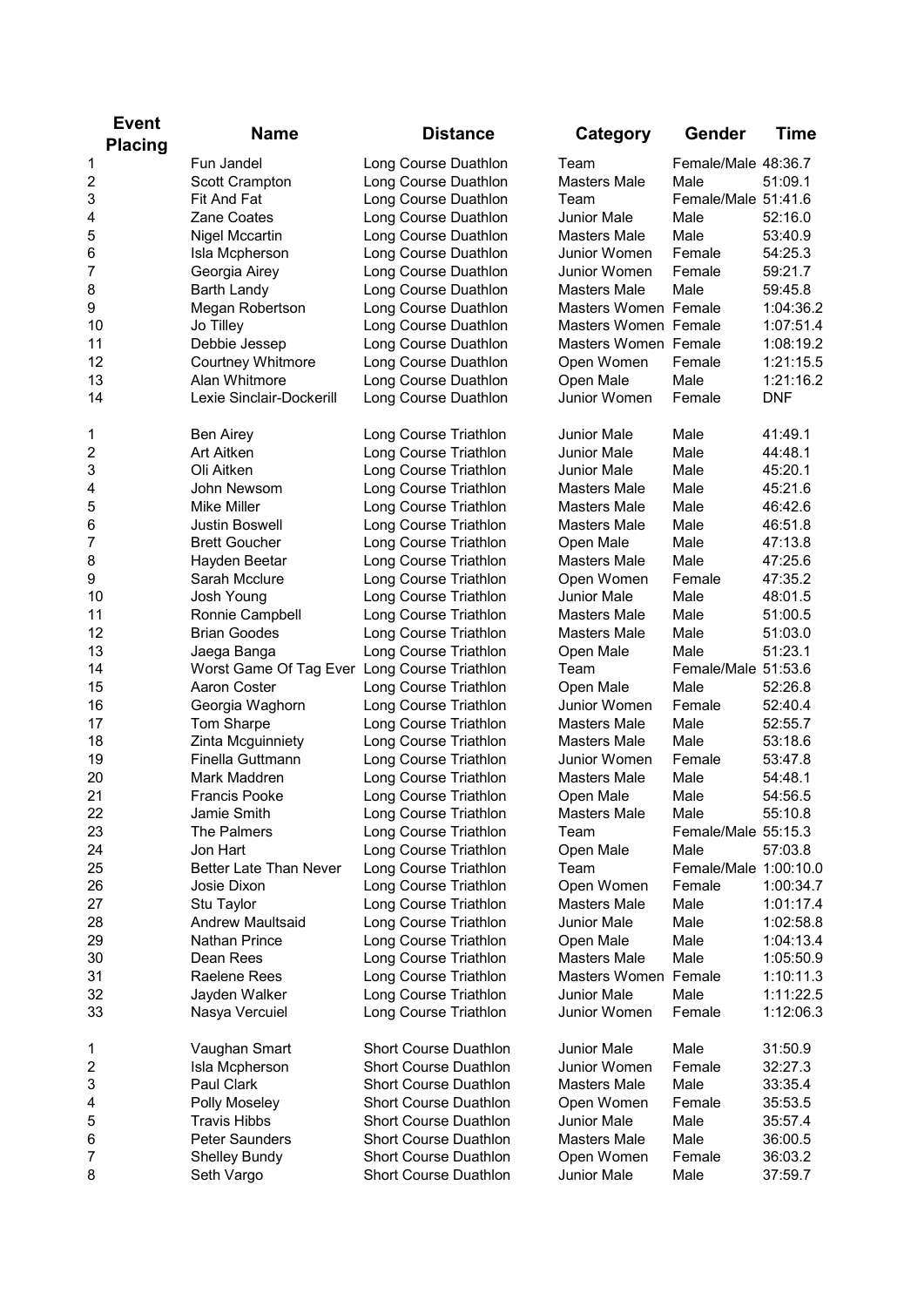| <b>Event</b>   |                                              |                              |                                    |                       |             |
|----------------|----------------------------------------------|------------------------------|------------------------------------|-----------------------|-------------|
| <b>Placing</b> | <b>Name</b>                                  | <b>Distance</b>              | Category                           | Gender                | <b>Time</b> |
| 1              | <b>Fun Jandel</b>                            | Long Course Duathlon         | Team                               | Female/Male 48:36.7   |             |
| 2              | Scott Crampton                               | Long Course Duathlon         | <b>Masters Male</b>                | Male                  | 51:09.1     |
| 3              | Fit And Fat                                  | Long Course Duathlon         | Team                               | Female/Male 51:41.6   |             |
| 4              | Zane Coates                                  | Long Course Duathlon         | <b>Junior Male</b>                 | Male                  | 52:16.0     |
| 5              | Nigel Mccartin                               | Long Course Duathlon         | Masters Male                       | Male                  | 53:40.9     |
| 6              | Isla Mcpherson                               | Long Course Duathlon         | Junior Women                       | Female                | 54:25.3     |
| 7              | Georgia Airey                                | Long Course Duathlon         | Junior Women                       | Female                | 59:21.7     |
| 8              | <b>Barth Landy</b>                           | Long Course Duathlon         | <b>Masters Male</b>                | Male                  | 59:45.8     |
| 9              | Megan Robertson                              | Long Course Duathlon         | Masters Women Female               |                       | 1:04:36.2   |
| 10             | Jo Tilley                                    | Long Course Duathlon         | Masters Women Female               |                       | 1:07:51.4   |
| 11             | Debbie Jessep                                | Long Course Duathlon         | Masters Women Female               |                       | 1:08:19.2   |
| 12             | Courtney Whitmore                            | Long Course Duathlon         | Open Women                         | Female                | 1:21:15.5   |
| 13             | Alan Whitmore                                | Long Course Duathlon         | Open Male                          | Male                  | 1:21:16.2   |
| 14             | Lexie Sinclair-Dockerill                     | Long Course Duathlon         | Junior Women                       | Female                | <b>DNF</b>  |
|                |                                              |                              |                                    |                       |             |
| 1              | <b>Ben Airey</b>                             | Long Course Triathlon        | <b>Junior Male</b>                 | Male                  | 41:49.1     |
| 2              | Art Aitken                                   | Long Course Triathlon        | <b>Junior Male</b>                 | Male                  | 44:48.1     |
| 3              | Oli Aitken                                   | Long Course Triathlon        | <b>Junior Male</b>                 | Male                  | 45:20.1     |
| 4              | John Newsom                                  | Long Course Triathlon        | Masters Male                       | Male                  | 45:21.6     |
| 5              | Mike Miller                                  | Long Course Triathlon        | Masters Male                       | Male                  | 46:42.6     |
| 6              | <b>Justin Boswell</b>                        | Long Course Triathlon        | Masters Male                       | Male                  | 46:51.8     |
| 7              | <b>Brett Goucher</b>                         | Long Course Triathlon        | Open Male                          | Male                  | 47:13.8     |
|                |                                              | Long Course Triathlon        | <b>Masters Male</b>                | Male                  | 47:25.6     |
| 8              | Hayden Beetar<br>Sarah Mcclure               |                              |                                    |                       |             |
| 9              |                                              | Long Course Triathlon        | Open Women                         | Female<br>Male        | 47:35.2     |
| 10             | Josh Young                                   | Long Course Triathlon        | Junior Male<br><b>Masters Male</b> | Male                  | 48:01.5     |
| 11             | Ronnie Campbell                              | Long Course Triathlon        |                                    | Male                  | 51:00.5     |
| 12             | <b>Brian Goodes</b>                          | Long Course Triathlon        | <b>Masters Male</b>                |                       | 51:03.0     |
| 13             | Jaega Banga                                  | Long Course Triathlon        | Open Male                          | Male                  | 51:23.1     |
| 14             | Worst Game Of Tag Ever Long Course Triathlon |                              | Team                               | Female/Male 51:53.6   |             |
| 15             | Aaron Coster                                 | Long Course Triathlon        | Open Male                          | Male                  | 52:26.8     |
| 16             | Georgia Waghorn                              | Long Course Triathlon        | Junior Women                       | Female                | 52:40.4     |
| 17             | Tom Sharpe                                   | Long Course Triathlon        | Masters Male                       | Male                  | 52:55.7     |
| 18             | Zinta Mcguinniety                            | Long Course Triathlon        | Masters Male                       | Male                  | 53:18.6     |
| 19             | Finella Guttmann                             | Long Course Triathlon        | Junior Women                       | Female                | 53:47.8     |
| 20             | Mark Maddren                                 | Long Course Triathlon        | Masters Male                       | Male                  | 54:48.1     |
| 21             | Francis Pooke                                | Long Course Triathlon        | Open Male                          | Male                  | 54:56.5     |
| 22             | Jamie Smith                                  | Long Course Triathlon        | Masters Male                       | Male                  | 55:10.8     |
| 23             | The Palmers                                  | Long Course Triathlon        | Team                               | Female/Male 55:15.3   |             |
| 24             | Jon Hart                                     | Long Course Triathlon        | Open Male                          | Male                  | 57:03.8     |
| 25             | Better Late Than Never                       | Long Course Triathlon        | Team                               | Female/Male 1:00:10.0 |             |
| 26             | Josie Dixon                                  | Long Course Triathlon        | Open Women                         | Female                | 1:00:34.7   |
| 27             | Stu Taylor                                   | Long Course Triathlon        | Masters Male                       | Male                  | 1:01:17.4   |
| 28             | <b>Andrew Maultsaid</b>                      | Long Course Triathlon        | Junior Male                        | Male                  | 1:02:58.8   |
| 29             | Nathan Prince                                | Long Course Triathlon        | Open Male                          | Male                  | 1:04:13.4   |
| 30             | Dean Rees                                    | Long Course Triathlon        | <b>Masters Male</b>                | Male                  | 1:05:50.9   |
| 31             | Raelene Rees                                 | Long Course Triathlon        | Masters Women Female               |                       | 1:10:11.3   |
| 32             | Jayden Walker                                | Long Course Triathlon        | <b>Junior Male</b>                 | Male                  | 1:11:22.5   |
| 33             | Nasya Vercuiel                               | Long Course Triathlon        | Junior Women                       | Female                | 1:12:06.3   |
|                |                                              |                              |                                    |                       |             |
| 1              | Vaughan Smart                                | <b>Short Course Duathlon</b> | Junior Male                        | Male                  | 31:50.9     |
| 2              | Isla Mcpherson                               | <b>Short Course Duathlon</b> | Junior Women                       | Female                | 32:27.3     |
| 3              | Paul Clark                                   | <b>Short Course Duathlon</b> | Masters Male                       | Male                  | 33:35.4     |
| 4              | Polly Moseley                                | <b>Short Course Duathlon</b> | Open Women                         | Female                | 35:53.5     |
| 5              | <b>Travis Hibbs</b>                          | <b>Short Course Duathlon</b> | Junior Male                        | Male                  | 35:57.4     |
| 6              | Peter Saunders                               | <b>Short Course Duathlon</b> | <b>Masters Male</b>                | Male                  | 36:00.5     |
| 7              | <b>Shelley Bundy</b>                         | <b>Short Course Duathlon</b> | Open Women                         | Female                | 36:03.2     |
| 8              | Seth Vargo                                   | Short Course Duathlon        | Junior Male                        | Male                  | 37:59.7     |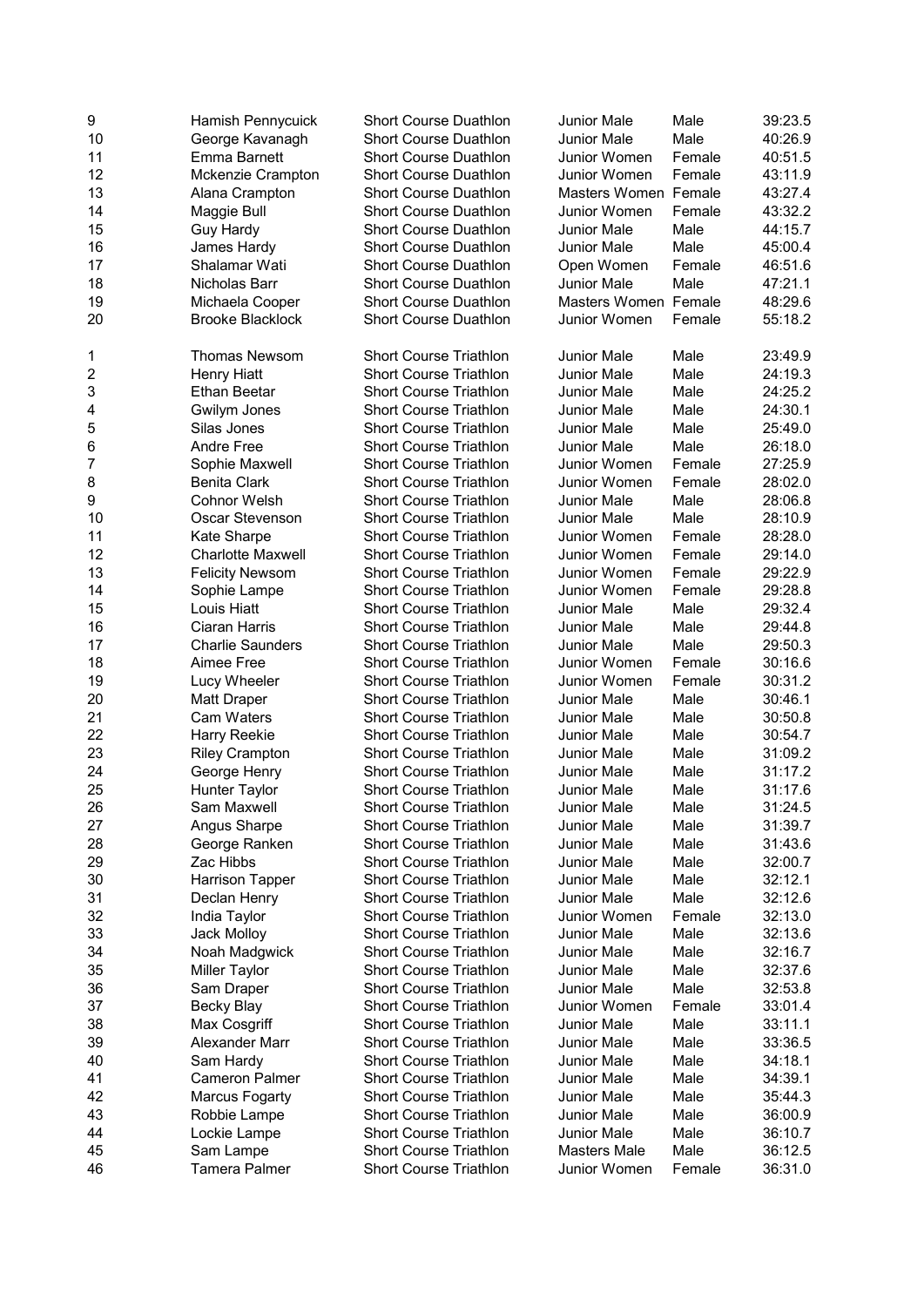| 9  | Hamish Pennycuick       | <b>Short Course Duathlon</b>  | Junior Male          | Male   | 39:23.5 |
|----|-------------------------|-------------------------------|----------------------|--------|---------|
| 10 | George Kavanagh         | <b>Short Course Duathlon</b>  | <b>Junior Male</b>   | Male   | 40:26.9 |
| 11 | <b>Emma Barnett</b>     | <b>Short Course Duathlon</b>  | Junior Women         | Female | 40:51.5 |
| 12 | Mckenzie Crampton       | <b>Short Course Duathlon</b>  | Junior Women         | Female | 43:11.9 |
| 13 | Alana Crampton          | Short Course Duathlon         | Masters Women Female |        | 43:27.4 |
| 14 | Maggie Bull             | <b>Short Course Duathlon</b>  | Junior Women         | Female | 43:32.2 |
| 15 | Guy Hardy               | <b>Short Course Duathlon</b>  | <b>Junior Male</b>   | Male   | 44:15.7 |
| 16 | James Hardy             | <b>Short Course Duathlon</b>  | <b>Junior Male</b>   | Male   | 45:00.4 |
| 17 | Shalamar Wati           | <b>Short Course Duathlon</b>  | Open Women           | Female | 46:51.6 |
|    | Nicholas Barr           |                               | <b>Junior Male</b>   | Male   |         |
| 18 |                         | <b>Short Course Duathlon</b>  |                      |        | 47:21.1 |
| 19 | Michaela Cooper         | <b>Short Course Duathlon</b>  | Masters Women Female |        | 48:29.6 |
| 20 | <b>Brooke Blacklock</b> | <b>Short Course Duathlon</b>  | Junior Women         | Female | 55:18.2 |
| 1  | Thomas Newsom           | <b>Short Course Triathlon</b> | <b>Junior Male</b>   | Male   | 23:49.9 |
| 2  | Henry Hiatt             | <b>Short Course Triathlon</b> | Junior Male          | Male   | 24:19.3 |
| 3  | Ethan Beetar            | <b>Short Course Triathlon</b> | <b>Junior Male</b>   | Male   | 24:25.2 |
| 4  | Gwilym Jones            | <b>Short Course Triathlon</b> | Junior Male          | Male   | 24:30.1 |
| 5  | Silas Jones             | <b>Short Course Triathlon</b> | Junior Male          | Male   | 25:49.0 |
| 6  | <b>Andre Free</b>       | <b>Short Course Triathlon</b> | Junior Male          | Male   | 26:18.0 |
| 7  | Sophie Maxwell          | <b>Short Course Triathlon</b> | Junior Women         | Female | 27:25.9 |
|    |                         | <b>Short Course Triathlon</b> |                      | Female |         |
| 8  | <b>Benita Clark</b>     |                               | Junior Women         |        | 28:02.0 |
| 9  | <b>Cohnor Welsh</b>     | Short Course Triathlon        | Junior Male          | Male   | 28:06.8 |
| 10 | Oscar Stevenson         | <b>Short Course Triathlon</b> | Junior Male          | Male   | 28:10.9 |
| 11 | Kate Sharpe             | <b>Short Course Triathlon</b> | Junior Women         | Female | 28:28.0 |
| 12 | Charlotte Maxwell       | <b>Short Course Triathlon</b> | Junior Women         | Female | 29:14.0 |
| 13 | <b>Felicity Newsom</b>  | <b>Short Course Triathlon</b> | Junior Women         | Female | 29:22.9 |
| 14 | Sophie Lampe            | <b>Short Course Triathlon</b> | Junior Women         | Female | 29:28.8 |
| 15 | Louis Hiatt             | <b>Short Course Triathlon</b> | Junior Male          | Male   | 29:32.4 |
| 16 | Ciaran Harris           | <b>Short Course Triathlon</b> | Junior Male          | Male   | 29:44.8 |
| 17 | <b>Charlie Saunders</b> | Short Course Triathlon        | Junior Male          | Male   | 29:50.3 |
| 18 | Aimee Free              | <b>Short Course Triathlon</b> | Junior Women         | Female | 30:16.6 |
| 19 | Lucy Wheeler            | <b>Short Course Triathlon</b> | Junior Women         | Female | 30:31.2 |
| 20 | Matt Draper             | <b>Short Course Triathlon</b> | Junior Male          | Male   | 30:46.1 |
|    |                         |                               | Junior Male          | Male   |         |
| 21 | <b>Cam Waters</b>       | <b>Short Course Triathlon</b> |                      |        | 30:50.8 |
| 22 | Harry Reekie            | <b>Short Course Triathlon</b> | Junior Male          | Male   | 30:54.7 |
| 23 | <b>Riley Crampton</b>   | <b>Short Course Triathlon</b> | <b>Junior Male</b>   | Male   | 31:09.2 |
| 24 | George Henry            | <b>Short Course Triathlon</b> | Junior Male          | Male   | 31:17.2 |
| 25 | Hunter Taylor           | <b>Short Course Triathlon</b> | Junior Male          | Male   | 31:17.6 |
| 26 | Sam Maxwell             | <b>Short Course Triathlon</b> | Junior Male          | Male   | 31:24.5 |
| 27 | Angus Sharpe            | Short Course Triathlon        | Junior Male          | Male   | 31:39.7 |
| 28 | George Ranken           | <b>Short Course Triathlon</b> | <b>Junior Male</b>   | Male   | 31:43.6 |
| 29 | Zac Hibbs               | <b>Short Course Triathlon</b> | <b>Junior Male</b>   | Male   | 32:00.7 |
| 30 | <b>Harrison Tapper</b>  | <b>Short Course Triathlon</b> | <b>Junior Male</b>   | Male   | 32:12.1 |
| 31 | Declan Henry            | <b>Short Course Triathlon</b> | <b>Junior Male</b>   | Male   | 32:12.6 |
| 32 | India Taylor            | <b>Short Course Triathlon</b> | Junior Women         | Female | 32:13.0 |
|    |                         |                               |                      |        |         |
| 33 | Jack Molloy             | <b>Short Course Triathlon</b> | Junior Male          | Male   | 32:13.6 |
| 34 | Noah Madgwick           | <b>Short Course Triathlon</b> | Junior Male          | Male   | 32:16.7 |
| 35 | Miller Taylor           | <b>Short Course Triathlon</b> | <b>Junior Male</b>   | Male   | 32:37.6 |
| 36 | Sam Draper              | <b>Short Course Triathlon</b> | Junior Male          | Male   | 32:53.8 |
| 37 | Becky Blay              | <b>Short Course Triathlon</b> | Junior Women         | Female | 33:01.4 |
| 38 | Max Cosgriff            | <b>Short Course Triathlon</b> | Junior Male          | Male   | 33:11.1 |
| 39 | Alexander Marr          | <b>Short Course Triathlon</b> | <b>Junior Male</b>   | Male   | 33:36.5 |
| 40 | Sam Hardy               | <b>Short Course Triathlon</b> | Junior Male          | Male   | 34:18.1 |
| 41 | <b>Cameron Palmer</b>   | <b>Short Course Triathlon</b> | Junior Male          | Male   | 34:39.1 |
| 42 | <b>Marcus Fogarty</b>   | <b>Short Course Triathlon</b> | Junior Male          | Male   | 35:44.3 |
| 43 | Robbie Lampe            | Short Course Triathlon        | Junior Male          | Male   | 36:00.9 |
| 44 | Lockie Lampe            | <b>Short Course Triathlon</b> | Junior Male          | Male   | 36:10.7 |
|    |                         |                               |                      |        |         |
| 45 | Sam Lampe               | <b>Short Course Triathlon</b> | Masters Male         | Male   | 36:12.5 |
| 46 | <b>Tamera Palmer</b>    | <b>Short Course Triathlon</b> | Junior Women         | Female | 36:31.0 |